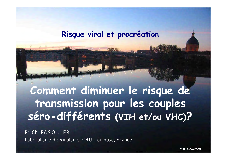#### **Risque viral et procréation**

**Comment diminuer le risque de transmission pour les couples séro-différents (VIH et/ou VHC)?**

Pr Ch. PASQUIER Laboratoire de Virologie, CHU Toulouse, France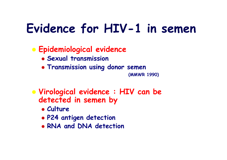## **Evidence for HIV-1 in semen**

#### Æ **Epidemiological evidence**

- Æ **Sexual transmission**
- Æ **Transmission using donor semen**

**(MMWR 1990)**

- Æ **Virological evidence : HIV can be**  detected in semen by
	- Æ **Culture**
	- Æ **P24 antigen detection**
	- Æ **RNA and DNA detection**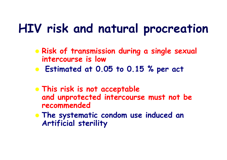## **HIV risk and natural procreation**

- **Example Sexual Figure 3 and Example Sexual intercourse is low**
- Æ **Estimated at 0.05 to 0.15 % per act**
- **EXTRIS FISK IS not acceptable and unprotected intercourse must not be recommended**
- **Example 3 The systematic condom use induced an Artificial sterility**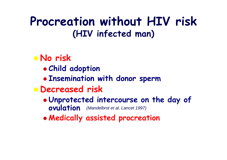#### **Procreation without HIV risk (HIV infected man)**

#### Æ **No risk** Æ **Child adoption** Æ **Insemination with donor sperm** Æ **Decreased risk** Æ **Unprotected intercourse on the day of ovulation** *(Mandelbrot et al, Lancet 1997)*

Æ **Medically assisted procreation**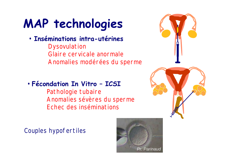# **MAP technologies**

#### • **Inséminations intra-utérines**

Dysovulation Glaire cervicale anormale Anomalies modérées du sperme

#### • **Fécondation In Vitro – ICSI**

Pathologie tubaire Anomalies sévères du sperme Echec des inséminations





Couples hypofertiles

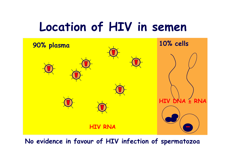## **Location of HIV in semen**



**No evidence in favour of HIV infection of spermatozoa**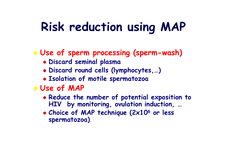## **Risk reduction using MAP**

Æ **Use of sperm processing (sperm-wash)**

- Æ **Discard seminal plasma**
- Æ **Discard round cells (lymphocytes,…)**
- Æ **Isolation of motile spermatozoa**
- Æ **Use of MAP**
	- Æ **Reduce the number of potential exposition to HIV by monitoring, ovulation induction, …**
	- <sup>Æ</sup> **Choice of MAP technique (2x10<sup>6</sup> or less spermatozoa)**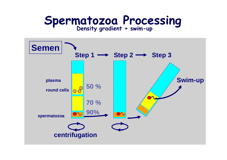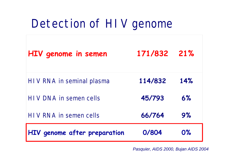#### Detection of HIV genome

| HIV genome in semen          | 171/832 21% |           |
|------------------------------|-------------|-----------|
| HIV RNA in seminal plasma    | 114/832     | 14%       |
| HIV DNA in semen cells       | 45/793      | 6%        |
| HIV RNA in semen cells       | 66/764      | 9%        |
| HIV genome after preparation | 0/804       | <b>0%</b> |

*Pasquier, AIDS 2000, Bujan AIDS 2004*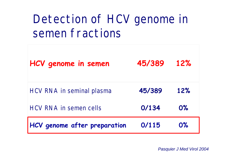## Detection of HCV genome in semen fractions

| HCV genome in semen           | 45/389 | 12%   |
|-------------------------------|--------|-------|
| HCV RNA in seminal plasma     | 45/389 | 12%   |
| <b>HCV RNA in semen cells</b> | 0/134  | $0\%$ |
| HCV genome after preparation  | 0/115  | 0%    |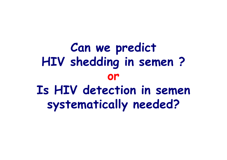**Can we predict HIV shedding in semen ? or Is HIV detection in semen systematically needed?**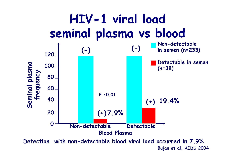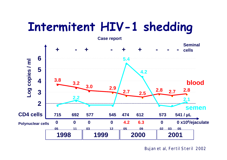### **Intermitent HIV-1 shedding**



Bujan et al, Fertil Steril 2002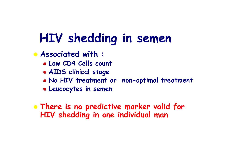## **HIV shedding in semen**

Æ **Associated with :**

- Æ **Low CD4 Cells count**
- Æ **AIDS clinical stage**
- Æ **No HIV treatment or non-optimal treatment**
- Æ **Leucocytes in semen**

**EXTE 15 There is no predictive marker valid for HIV shedding in one individual man**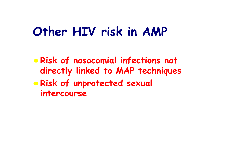### **Other HIV risk in AMP**

Æ **Risk of nosocomial infections not directly linked to MAP techniques** Æ **Risk of unprotected sexual intercourse**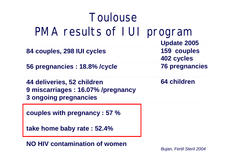| Toulouse                                                                                  |                           |
|-------------------------------------------------------------------------------------------|---------------------------|
| PMA results of I UI program                                                               | <b>Update 2005</b>        |
| 84 couples, 298 IUI cycles                                                                | 159 couples<br>402 cycles |
| 56 pregnancies : 18.8% / cycle                                                            | <b>76 pregnancies</b>     |
| 44 deliveries, 52 children<br>9 miscarriages : 16.07% /pregnancy<br>3 ongoing pregnancies | <b>64 children</b>        |
| couples with pregnancy : 57 %                                                             |                           |
| take home baby rate : 52.4%                                                               |                           |

**NO HIV contamination of women**

*Bujan, Fertil Steril 2004*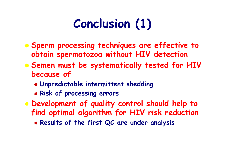## **Conclusion (1)**

- Æ **Sperm processing techniques are effective to obtain spermatozoa without HIV detection**
- **Example 3 Semen must be systematically tested for HIV because of**
	- Æ **Unpredictable intermittent shedding**
	- Æ **Risk of processing errors**
- **EXEDED EXELOPMENT OF quality control should help to find optimal algorithm for HIV risk reduction**
	- Æ **Results of the first QC are under analysis**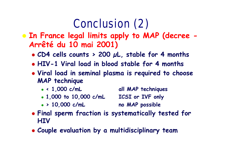## Conclusion (2)

#### Æ **In France legal limits apply to MAP (decree - Arrêté du 10 mai 2001)**

- Æ **CD4 cells counts > 200 µL, stable for 4 months**
- Æ **HIV-1 Viral load in blood stable for 4 months**
- Æ **Viral load in seminal plasma is required to choose MAP technique**
	- <sup>Æ</sup> **< 1,000 c/mL all MAP techniques**
	- <sup>Æ</sup> **1,000 to 10,000 c/mL ICSI or IVF only**
	- <sup>Æ</sup> **> 10,000 c/mL no MAP possible**
- **Example 1 Final sperm fraction is systematically tested for HIV**
- Æ **Couple evaluation by a multidisciplinary team**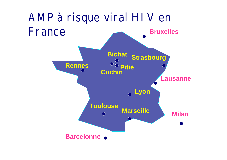